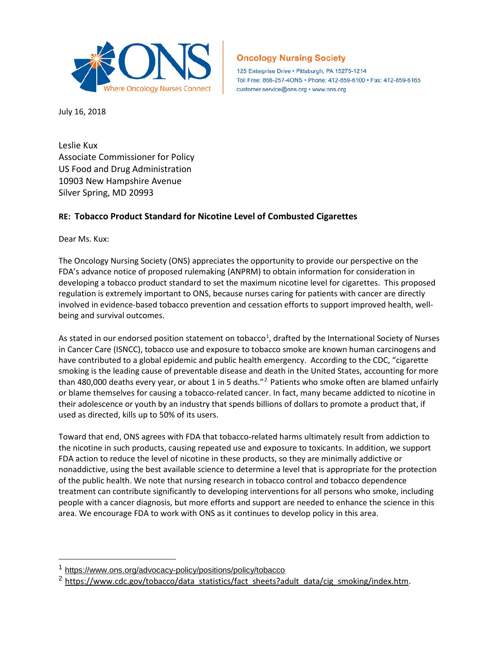

## **Oncology Nursing Society**

125 Enterprise Drive · Pittsburgh, PA 15275-1214 Toll Free: 866-257-4ONS · Phone: 412-859-6100 · Fax: 412-859-6165 customer.service@ons.org · www.ons.org

July 16, 2018

Leslie Kux Associate Commissioner for Policy US Food and Drug Administration 10903 New Hampshire Avenue Silver Spring, MD 20993

## **RE: Tobacco Product Standard for Nicotine Level of Combusted Cigarettes**

Dear Ms. Kux:

 $\overline{a}$ 

The Oncology Nursing Society (ONS) appreciates the opportunity to provide our perspective on the FDA's advance notice of proposed rulemaking (ANPRM) to obtain information for consideration in developing a tobacco product standard to set the maximum nicotine level for cigarettes. This proposed regulation is extremely important to ONS, because nurses caring for patients with cancer are directly involved in evidence-based tobacco prevention and cessation efforts to support improved health, wellbeing and survival outcomes.

As stated in our endorsed position statement on tobacco<sup>[1](#page-0-0)</sup>, drafted by the International Society of Nurses in Cancer Care (ISNCC), tobacco use and exposure to tobacco smoke are known human carcinogens and have contributed to a global epidemic and public health emergency. According to the CDC, "cigarette smoking is the leading cause of preventable disease and death in the United States, accounting for more than 480,000 deaths every year, or about 1 in 5 deaths."<sup>[2](#page-0-1)</sup> Patients who smoke often are blamed unfairly or blame themselves for causing a tobacco-related cancer. In fact, many became addicted to nicotine in their adolescence or youth by an industry that spends billions of dollars to promote a product that, if used as directed, kills up to 50% of its users.

Toward that end, ONS agrees with FDA that tobacco-related harms ultimately result from addiction to the nicotine in such products, causing repeated use and exposure to toxicants. In addition, we support FDA action to reduce the level of nicotine in these products, so they are minimally addictive or nonaddictive, using the best available science to determine a level that is appropriate for the protection of the public health. We note that nursing research in tobacco control and tobacco dependence treatment can contribute significantly to developing interventions for all persons who smoke, including people with a cancer diagnosis, but more efforts and support are needed to enhance the science in this area. We encourage FDA to work with ONS as it continues to develop policy in this area.

<span id="page-0-0"></span><sup>1</sup> <https://www.ons.org/advocacy-policy/positions/policy/tobacco>

<span id="page-0-1"></span><sup>&</sup>lt;sup>2</sup> [https://www.cdc.gov/tobacco/data\\_statistics/fact\\_sheets?adult\\_data/cig\\_smoking/index.htm.](https://www.cdc.gov/tobacco/data_statistics/fact_sheets?adult_data/cig_smoking/index.htm)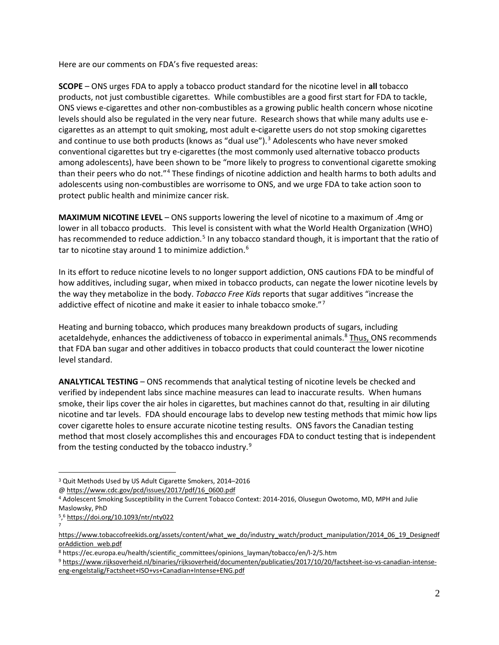Here are our comments on FDA's five requested areas:

**SCOPE** – ONS urges FDA to apply a tobacco product standard for the nicotine level in **all** tobacco products, not just combustible cigarettes. While combustibles are a good first start for FDA to tackle, ONS views e-cigarettes and other non-combustibles as a growing public health concern whose nicotine levels should also be regulated in the very near future. Research shows that while many adults use ecigarettes as an attempt to quit smoking, most adult e-cigarette users do not stop smoking cigarettes and continue to use both products (knows as "dual use").<sup>[3](#page-1-0)</sup> Adolescents who have never smoked conventional cigarettes but try e-cigarettes (the most commonly used alternative tobacco products among adolescents), have been shown to be "more likely to progress to conventional cigarette smoking than their peers who do not."[4](#page-1-1) These findings of nicotine addiction and health harms to both adults and adolescents using non-combustibles are worrisome to ONS, and we urge FDA to take action soon to protect public health and minimize cancer risk.

**MAXIMUM NICOTINE LEVEL** – ONS supports lowering the level of nicotine to a maximum of .4mg or lower in all tobacco products. This level is consistent with what the World Health Organization (WHO) has recommended to reduce addiction.<sup>[5](#page-1-2)</sup> In any tobacco standard though, it is important that the ratio of tar to nicotine stay around 1 to minimize addiction.<sup>[6](#page-1-3)</sup>

In its effort to reduce nicotine levels to no longer support addiction, ONS cautions FDA to be mindful of how additives, including sugar, when mixed in tobacco products, can negate the lower nicotine levels by the way they metabolize in the body. *Tobacco Free Kids* reports that sugar additives "increase the addictive effect of nicotine and make it easier to inhale tobacco smoke."<sup>[7](#page-1-4)</sup>

Heating and burning tobacco, which produces many breakdown products of sugars, including acetaldehyde, enhances the addictiveness of tobacco in experimental animals.<sup>[8](#page-1-5)</sup> Thus, ONS recommends that FDA ban sugar and other additives in tobacco products that could counteract the lower nicotine level standard.

**ANALYTICAL TESTING** – ONS recommends that analytical testing of nicotine levels be checked and verified by independent labs since machine measures can lead to inaccurate results. When humans smoke, their lips cover the air holes in cigarettes, but machines cannot do that, resulting in air diluting nicotine and tar levels. FDA should encourage labs to develop new testing methods that mimic how lips cover cigarette holes to ensure accurate nicotine testing results. ONS favors the Canadian testing method that most closely accomplishes this and encourages FDA to conduct testing that is independent from the testing conducted by the tobacco industry.<sup>[9](#page-1-6)</sup>

 $\overline{a}$ 

7

<span id="page-1-0"></span><sup>3</sup> Quit Methods Used by US Adult Cigarette Smokers, 2014–2016

<sup>@</sup> [https://www.cdc.gov/pcd/issues/2017/pdf/16\\_0600.pdf](https://www.cdc.gov/pcd/issues/2017/pdf/16_0600.pdf)

<span id="page-1-1"></span><sup>4</sup> Adolescent Smoking Susceptibility in the Current Tobacco Context: 2014-2016, Olusegun Owotomo, MD, MPH and Julie Maslowsky, PhD

<span id="page-1-2"></span><sup>5,</sup> <sup>6</sup> <https://doi.org/10.1093/ntr/nty022>

<span id="page-1-3"></span>[https://www.tobaccofreekids.org/assets/content/what\\_we\\_do/industry\\_watch/product\\_manipulation/2014\\_06\\_19\\_Designedf](https://www.tobaccofreekids.org/assets/content/what_we_do/industry_watch/product_manipulation/2014_06_19_DesignedforAddiction_web.pdf) [orAddiction\\_web.pdf](https://www.tobaccofreekids.org/assets/content/what_we_do/industry_watch/product_manipulation/2014_06_19_DesignedforAddiction_web.pdf)

<span id="page-1-4"></span><sup>8</sup> https://ec.europa.eu/health/scientific\_committees/opinions\_layman/tobacco/en/l-2/5.htm

<span id="page-1-6"></span><span id="page-1-5"></span><sup>9</sup> [https://www.rijksoverheid.nl/binaries/rijksoverheid/documenten/publicaties/2017/10/20/factsheet-iso-vs-canadian-intense](https://www.rijksoverheid.nl/binaries/rijksoverheid/documenten/publicaties/2017/10/20/factsheet-iso-vs-canadian-intense-eng-engelstalig/Factsheet+ISO+vs+Canadian+Intense+ENG.pdf)[eng-engelstalig/Factsheet+ISO+vs+Canadian+Intense+ENG.pdf](https://www.rijksoverheid.nl/binaries/rijksoverheid/documenten/publicaties/2017/10/20/factsheet-iso-vs-canadian-intense-eng-engelstalig/Factsheet+ISO+vs+Canadian+Intense+ENG.pdf)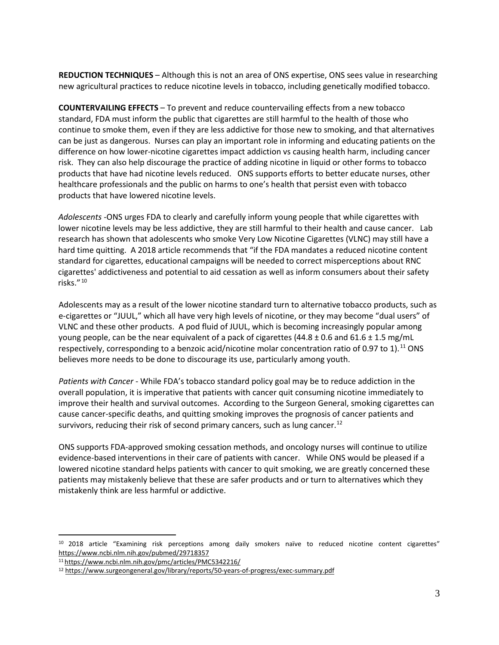**REDUCTION TECHNIQUES** – Although this is not an area of ONS expertise, ONS sees value in researching new agricultural practices to reduce nicotine levels in tobacco, including genetically modified tobacco.

**COUNTERVAILING EFFECTS** – To prevent and reduce countervailing effects from a new tobacco standard, FDA must inform the public that cigarettes are still harmful to the health of those who continue to smoke them, even if they are less addictive for those new to smoking, and that alternatives can be just as dangerous. Nurses can play an important role in informing and educating patients on the difference on how lower-nicotine cigarettes impact addiction vs causing health harm, including cancer risk. They can also help discourage the practice of adding nicotine in liquid or other forms to tobacco products that have had nicotine levels reduced. ONS supports efforts to better educate nurses, other healthcare professionals and the public on harms to one's health that persist even with tobacco products that have lowered nicotine levels.

*Adolescents* -ONS urges FDA to clearly and carefully inform young people that while cigarettes with lower nicotine levels may be less addictive, they are still harmful to their health and cause cancer. Lab research has shown that adolescents who smoke Very Low Nicotine Cigarettes (VLNC) may still have a hard time quitting. A 2018 article recommends that "if the FDA mandates a reduced nicotine content standard for cigarettes, educational campaigns will be needed to correct misperceptions about RNC cigarettes' addictiveness and potential to aid cessation as well as inform consumers about their safety risks." [10](#page-2-0)

Adolescents may as a result of the lower nicotine standard turn to alternative tobacco products, such as e-cigarettes or "JUUL," which all have very high levels of nicotine, or they may become "dual users" of VLNC and these other products. A pod fluid of JUUL, which is becoming increasingly popular among young people, can be the near equivalent of a pack of cigarettes  $(44.8 \pm 0.6$  and  $61.6 \pm 1.5$  mg/mL respectively, corresponding to a benzoic acid/nicotine molar concentration ratio of 0.97 to 1).<sup>[11](#page-2-1)</sup> ONS believes more needs to be done to discourage its use, particularly among youth.

*Patients with Cancer* - While FDA's tobacco standard policy goal may be to reduce addiction in the overall population, it is imperative that patients with cancer quit consuming nicotine immediately to improve their health and survival outcomes. According to the Surgeon General, smoking cigarettes can cause cancer-specific deaths, and quitting smoking improves the prognosis of cancer patients and survivors, reducing their risk of second primary cancers, such as lung cancer.<sup>[12](#page-2-2)</sup>

ONS supports FDA-approved smoking cessation methods, and oncology nurses will continue to utilize evidence-based interventions in their care of patients with cancer. While ONS would be pleased if a lowered nicotine standard helps patients with cancer to quit smoking, we are greatly concerned these patients may mistakenly believe that these are safer products and or turn to alternatives which they mistakenly think are less harmful or addictive.

 $\overline{a}$ 

<span id="page-2-0"></span><sup>&</sup>lt;sup>10</sup> 2018 article "Examining risk perceptions among daily smokers naïve to reduced nicotine content cigarettes" <https://www.ncbi.nlm.nih.gov/pubmed/29718357>

<sup>1</sup>[1 https://www.ncbi.nlm.nih.gov/pmc/articles/PMC5342216/](https://www.ncbi.nlm.nih.gov/pmc/articles/PMC5342216/)

<span id="page-2-2"></span><span id="page-2-1"></span><sup>12</sup> <https://www.surgeongeneral.gov/library/reports/50-years-of-progress/exec-summary.pdf>